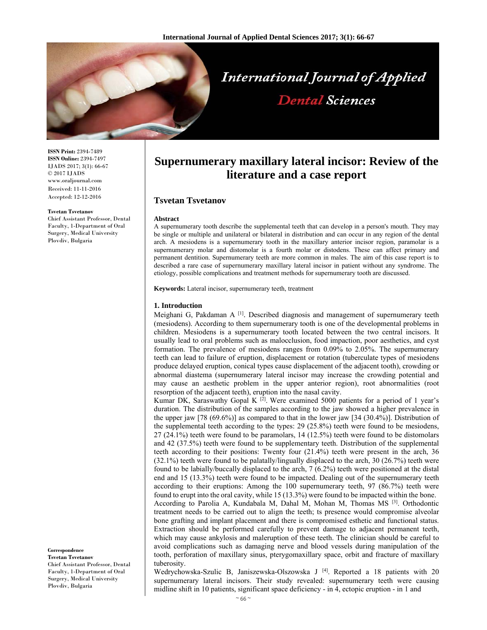

**ISSN Print:** 2394-7489 **ISSN Online:** 2394-7497 IJADS 2017; 3(1): 66-67 © 2017 IJADS www.oraljournal.com Received: 11-11-2016 Accepted: 12-12-2016

#### **Tsvetan Tsvetanov**

Chief Assistant Professor, Dental Faculty, 1-Department of Oral Surgery, Medical University Plovdiv, Bulgaria

**Correspondence**

**Tsvetan Tsvetanov**  Chief Assistant Professor, Dental Faculty, 1-Department of Oral Surgery, Medical University Plovdiv, Bulgaria

# **Supernumerary maxillary lateral incisor: Review of the literature and a case report**

**Dental Sciences** 

# **Tsvetan Tsvetanov**

#### **Abstract**

A supernumerary tooth describe the supplemental teeth that can develop in a person's mouth. They may be single or multiple and unilateral or bilateral in distribution and can occur in any region of the dental arch. A mesiodens is a supernumerary tooth in the maxillary anterior incisor region, paramolar is a supernumerary molar and distomolar is a fourth molar or distodens. These can affect primary and permanent dentition. Supernumerary teeth are more common in males. The aim of this case report is to described a rare case of supernumerary maxillary lateral incisor in patient without any syndrome. The etiology, possible complications and treatment methods for supernumerary tooth are discussed.

**Keywords:** Lateral incisor, supernumerary teeth, treatment

#### **1. Introduction**

Meighani G, Pakdaman A<sup>[1]</sup>. Described diagnosis and management of supernumerary teeth (mesiodens). According to them supernumerary tooth is one of the developmental problems in children. Mesiodens is a supernumerary tooth located between the two central incisors. It usually lead to oral problems such as malocclusion, food impaction, poor aesthetics, and cyst formation. The prevalence of mesiodens ranges from 0.09% to 2.05%. The supernumerary teeth can lead to failure of eruption, displacement or rotation (tuberculate types of mesiodens produce delayed eruption, conical types cause displacement of the adjacent tooth), crowding or abnormal diastema (supernumerary lateral incisor may increase the crowding potential and may cause an aesthetic problem in the upper anterior region), root abnormalities (root resorption of the adjacent teeth), eruption into the nasal cavity.

Kumar DK, Saraswathy Gopal K  $^{[2]}$ . Were examined 5000 patients for a period of 1 year's duration. The distribution of the samples according to the jaw showed a higher prevalence in the upper jaw [78 (69.6%)] as compared to that in the lower jaw [34 (30.4%)]. Distribution of the supplemental teeth according to the types: 29 (25.8%) teeth were found to be mesiodens, 27 (24.1%) teeth were found to be paramolars, 14 (12.5%) teeth were found to be distomolars and 42 (37.5%) teeth were found to be supplementary teeth. Distribution of the supplemental teeth according to their positions: Twenty four (21.4%) teeth were present in the arch, 36  $(32.1\%)$  teeth were found to be palatally/lingually displaced to the arch, 30 (26.7%) teeth were found to be labially/buccally displaced to the arch, 7 (6.2%) teeth were positioned at the distal end and 15 (13.3%) teeth were found to be impacted. Dealing out of the supernumerary teeth according to their eruptions: Among the 100 supernumerary teeth, 97 (86.7%) teeth were found to erupt into the oral cavity, while 15 (13.3%) were found to be impacted within the bone. According to Parolia A, Kundabala M, Dahal M, Mohan M, Thomas MS [3]. Orthodontic treatment needs to be carried out to align the teeth; ts presence would compromise alveolar bone grafting and implant placement and there is compromised esthetic and functional status. Extraction should be performed carefully to prevent damage to adjacent permanent teeth, which may cause ankylosis and maleruption of these teeth. The clinician should be careful to avoid complications such as damaging nerve and blood vessels during manipulation of the tooth, perforation of maxillary sinus, pterygomaxillary space, orbit and fracture of maxillary tuberosity.

Wedrychowska-Szulic B, Janiszewska-Olszowska J <a>[4]</a>. Reported a 18 patients with 20 supernumerary lateral incisors. Their study revealed: supernumerary teeth were causing midline shift in 10 patients, significant space deficiency - in 4, ectopic eruption - in 1 and